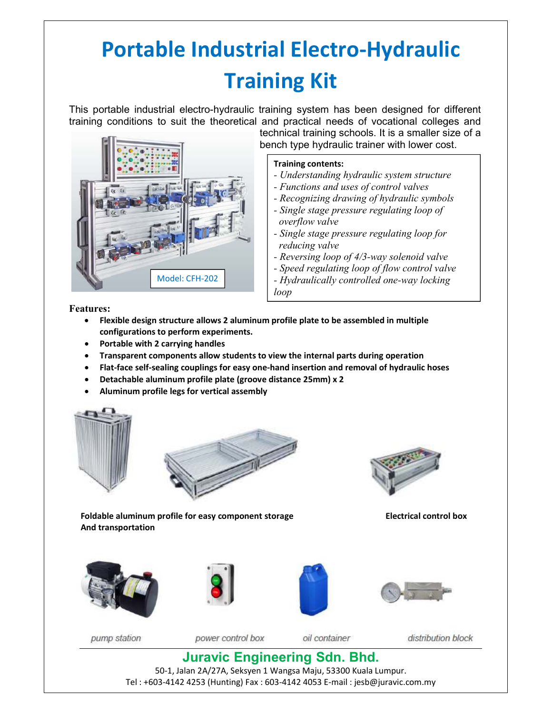## **Portable Industrial Electro-Hydraulic Training Kit**

This portable industrial electro-hydraulic training system has been designed for different training conditions to suit the theoretical and practical needs of vocational colleges and



technical training schools. It is a smaller size of a bench type hydraulic trainer with lower cost.

## **Training contents:**

- *Understanding hydraulic system structure*
- *Functions and uses of control valves*
- *Recognizing drawing of hydraulic symbols*
- *Single stage pressure regulating loop of overflow valve*
- *Single stage pressure regulating loop for reducing valve*
- *Reversing loop of 4/3-way solenoid valve*
- *Speed regulating loop of flow control valve - Hydraulically controlled one-way locking loop*

*- Pressure relay controlled sequential loop*

**Features:** 

- **Flexible design structure allows 2 aluminum profile plate to be assembled in multiple configurations to perform experiments.**
- **Portable with 2 carrying handles**
- **Transparent components allow students to view the internal parts during operation**
- **Flat-face self-sealing couplings for easy one-hand insertion and removal of hydraulic hoses**
- **Detachable aluminum profile plate (groove distance 25mm) x 2**
- **Aluminum profile legs for vertical assembly**





Foldable aluminum profile for easy component storage **Electrical control box** 



**And transportation** 









pump station

power control box

oil container

distribution block

## **Juravic Engineering Sdn. Bhd.**

50-1, Jalan 2A/27A, Seksyen 1 Wangsa Maju, 53300 Kuala Lumpur. Tel : +603-4142 4253 (Hunting) Fax : 603-4142 4053 E-mail : jesb@juravic.com.my